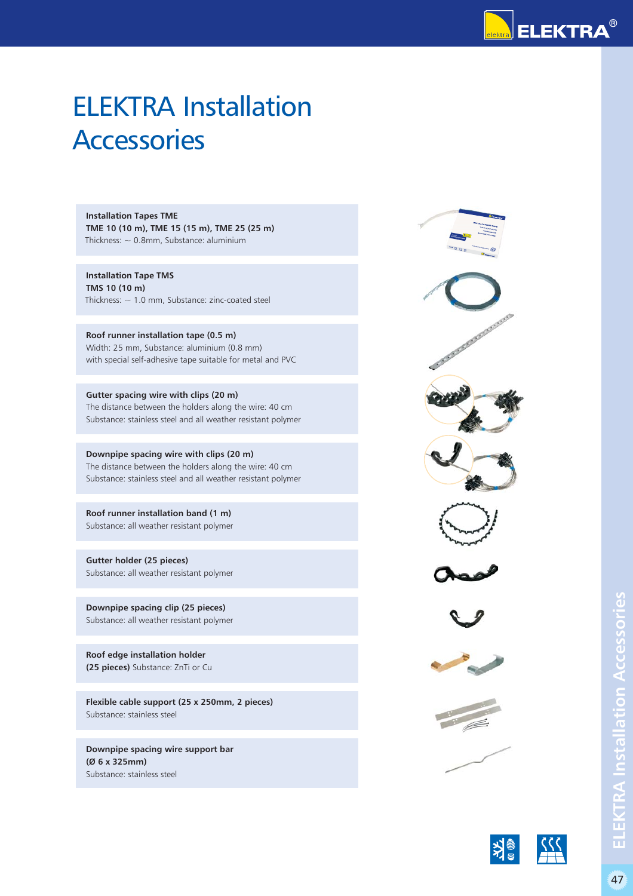

## ELEKTRA Installation **Accessories**

**Installation Tapes TME TME 10 (10 m), TME 15 (15 m), TME 25 (25 m)** Thickness:  $\sim$  0.8mm, Substance: aluminium

**Installation Tape TMS TMS 10 (10 m)** Thickness:  $\sim$  1.0 mm, Substance: zinc-coated steel

**Roof runner installation tape (0.5 m)** Width: 25 mm, Substance: aluminium (0.8 mm) with special self-adhesive tape suitable for metal and PVC

**Gutter spacing wire with clips (20 m)** The distance between the holders along the wire: 40 cm Substance: stainless steel and all weather resistant polymer

**Downpipe spacing wire with clips (20 m)** The distance between the holders along the wire: 40 cm Substance: stainless steel and all weather resistant polymer

**Roof runner installation band (1 m)** Substance: all weather resistant polymer

**Gutter holder (25 pieces)** Substance: all weather resistant polymer

**Downpipe spacing clip (25 pieces)** Substance: all weather resistant polymer

**Roof edge installation holder (25 pieces)** Substance: ZnTi or Cu

**Flexible cable support (25 x 250mm, 2 pieces)** Substance: stainless steel

**Downpipe spacing wire support bar (Ø 6 x 325mm)** Substance: stainless steel







**ELEKTRA Installation Accessories**